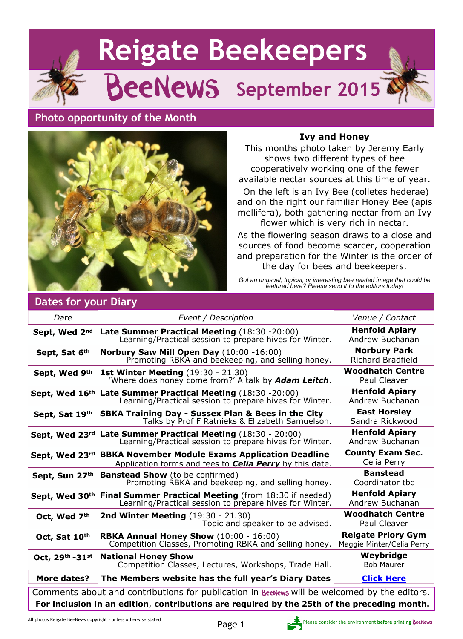# **Reigate Beekeepers** BeeNews **September 2015**

# **Photo opportunity of the Month**



#### **Ivy and Honey**

This months photo taken by Jeremy Early shows two different types of bee cooperatively working one of the fewer available nectar sources at this time of year.

 On the left is an Ivy Bee (colletes hederae) and on the right our familiar Honey Bee (apis mellifera), both gathering nectar from an Ivy flower which is very rich in nectar.

As the flowering season draws to a close and sources of food become scarcer, cooperation and preparation for the Winter is the order of the day for bees and beekeepers.

*Got an unusual, topical, or interesting bee related image that could be featured here? Please send it to the editors today!*

| Date                                                                                         | Event / Description                                                                                                      | Venue / Contact                                        |
|----------------------------------------------------------------------------------------------|--------------------------------------------------------------------------------------------------------------------------|--------------------------------------------------------|
| Sept, Wed 2nd                                                                                | Late Summer Practical Meeting (18:30 -20:00)<br>Learning/Practical session to prepare hives for Winter.                  | <b>Henfold Apiary</b><br>Andrew Buchanan               |
| Sept, Sat 6th                                                                                | Norbury Saw Mill Open Day (10:00 -16:00)<br>Promoting RBKA and beekeeping, and selling honey.                            | <b>Norbury Park</b><br><b>Richard Bradfield</b>        |
| Sept, Wed 9th                                                                                | <b>1st Winter Meeting (19:30 - 21.30)</b><br>'Where does honey come from?' A talk by <b>Adam Leitch</b> .                | <b>Woodhatch Centre</b><br><b>Paul Cleaver</b>         |
| Sept, Wed 16th                                                                               | Late Summer Practical Meeting (18:30 -20:00)<br>Learning/Practical session to prepare hives for Winter.                  | <b>Henfold Apiary</b><br>Andrew Buchanan               |
| Sept, Sat 19th                                                                               | SBKA Training Day - Sussex Plan & Bees in the City<br>Talks by Prof F Ratnieks & Elizabeth Samuelson.                    | <b>East Horsley</b><br>Sandra Rickwood                 |
| Sept, Wed 23rd                                                                               | Late Summer Practical Meeting (18:30 - 20:00)<br>Learning/Practical session to prepare hives for Winter.                 | <b>Henfold Apiary</b><br>Andrew Buchanan               |
| Sept, Wed 23rd                                                                               | <b>BBKA November Module Exams Application Deadline</b><br>Application forms and fees to <b>Celia Perry</b> by this date. | <b>County Exam Sec.</b><br>Celia Perry                 |
| Sept, Sun 27th                                                                               | <b>Banstead Show</b> (to be confirmed)<br>Promoting RBKA and beekeeping, and selling honey.                              | <b>Banstead</b><br>Coordinator tbc                     |
| Sept, Wed 30th                                                                               | Final Summer Practical Meeting (from 18:30 if needed)<br>Learning/Practical session to prepare hives for Winter.         | <b>Henfold Apiary</b><br>Andrew Buchanan               |
| Oct, Wed 7th                                                                                 | <b>2nd Winter Meeting (19:30 - 21.30)</b><br>Topic and speaker to be advised.                                            | <b>Woodhatch Centre</b><br>Paul Cleaver                |
| Oct, Sat 10th                                                                                | RBKA Annual Honey Show (10:00 - 16:00)<br>Competition Classes, Promoting RBKA and selling honey.                         | <b>Reigate Priory Gym</b><br>Maggie Minter/Celia Perry |
| Oct, 29th-31st                                                                               | <b>National Honey Show</b><br>Competition Classes, Lectures, Workshops, Trade Hall.                                      | Weybridge<br><b>Bob Maurer</b>                         |
| <b>More dates?</b>                                                                           | The Members website has the full year's Diary Dates                                                                      | <b>Click Here</b>                                      |
| Comments about and contributions for publication in BeeNews will be welcomed by the editors. |                                                                                                                          |                                                        |
| For inclusion in an edition, contributions are required by the 25th of the preceding month.  |                                                                                                                          |                                                        |

## **Dates for your Diary**

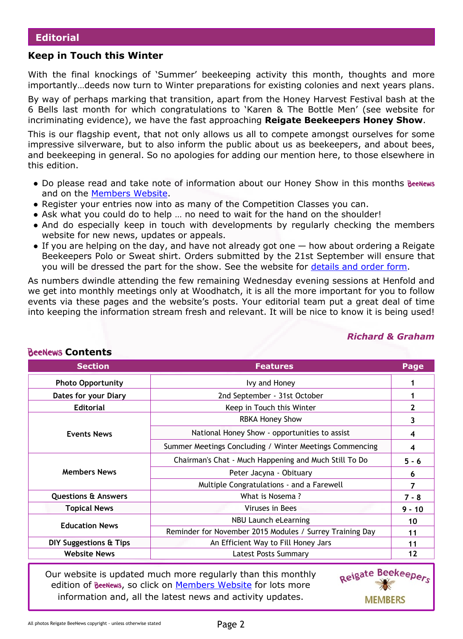#### **Keep in Touch this Winter**

With the final knockings of 'Summer' beekeeping activity this month, thoughts and more importantly…deeds now turn to Winter preparations for existing colonies and next years plans.

By way of perhaps marking that transition, apart from the Honey Harvest Festival bash at the 6 Bells last month for which congratulations to 'Karen & The Bottle Men' (see website for incriminating evidence), we have the fast approaching **Reigate Beekeepers Honey Show**.

This is our flagship event, that not only allows us all to compete amongst ourselves for some impressive silverware, but to also inform the public about us as beekeepers, and about bees, and beekeeping in general. So no apologies for adding our mention here, to those elsewhere in this edition.

- Do please read and take note of information about our Honey Show in this months BeeNews and on the [Members Website.](http://rbkbblog.com/)
- Register your entries now into as many of the Competition Classes you can.
- Ask what you could do to help ... no need to wait for the hand on the shoulder!
- And do especially keep in touch with developments by regularly checking the members website for new news, updates or appeals.
- $\bullet$  If you are helping on the day, and have not already got one  $-$  how about ordering a Reigate Beekeepers Polo or Sweat shirt. Orders submitted by the 21st September will ensure that you will be dressed the part for the show. See the website for [details and order form.](http://rbkbblog.com/?s=tee+shirts)

As numbers dwindle attending the few remaining Wednesday evening sessions at Henfold and we get into monthly meetings only at Woodhatch, it is all the more important for you to follow events via these pages and the website's posts. Your editorial team put a great deal of time into keeping the information stream fresh and relevant. It will be nice to know it is being used!

## **Photo Opportunity 1 1 1 1 1 1 1 1 1 Dates for your Diary** 1 **Editorial** Keep in Touch this Winter **2 Events News** RBKA Honey Show 3 National Honey Show - opportunities to assist **4** Summer Meetings Concluding / Winter Meetings Commencing **4 Members News** Chairman's Chat - Much Happening and Much Still To Do **5 - 6** Peter Jacyna - Obituary **6** Multiple Congratulations - and a Farewell **7 Questions & Answers**  $\begin{array}{|c|c|c|c|c|c|}\n\hline\n\text{Questions & \text{Ans: } 7 - 8 \\
\hline\n\end{array}$ **Topical News** Viruses in Bees **9 - 10 Education News** 10 Reminder for November 2015 Modules / Surrey Training Day **11 DIY Suggestions & Tips** An Efficient Way to Fill Honey Jars **11** 11 **Website News** Latest Posts Summary **12 Section Features Page**

*Richard & Graham*

Our website is updated much more regularly than this monthly edition of BeeNews, so click on [Members Website](http://rbkbblog.com) for lots more information and, all the latest news and activity updates.



# **BeeNews Contents**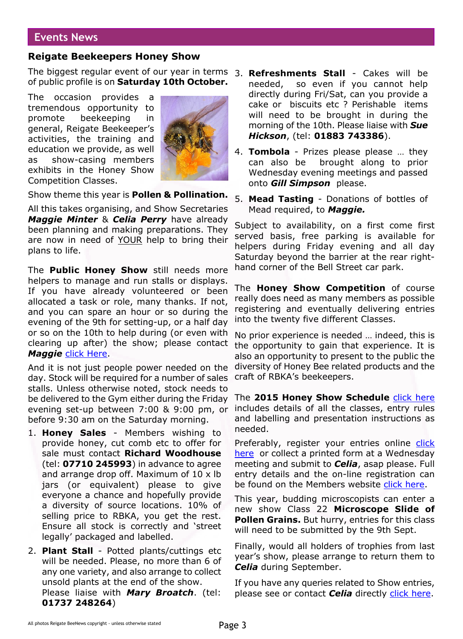## **Events News**

#### **Reigate Beekeepers Honey Show**

The biggest regular event of our year in terms 3. **Refreshments Stall** - Cakes will be of public profile is on **Saturday 10th October.**

The occasion provides a tremendous opportunity to promote beekeeping in general, Reigate Beekeeper's activities, the training and education we provide, as well as show-casing members exhibits in the Honey Show Competition Classes.



Show theme this year is **Pollen & Pollination.**

All this takes organising, and Show Secretaries *Maggie Minter* & *Celia Perry* have already been planning and making preparations. They are now in need of YOUR help to bring their plans to life.

The **Public Honey Show** still needs more helpers to manage and run stalls or displays. If you have already volunteered or been allocated a task or role, many thanks. If not, and you can spare an hour or so during the evening of the 9th for setting-up, or a half day or so on the 10th to help during (or even with clearing up after) the show; please contact *Maggie* [click Here.](http://rbkbblog.com/whos-who/)

And it is not just people power needed on the day. Stock will be required for a number of sales stalls. Unless otherwise noted, stock needs to be delivered to the Gym either during the Friday evening set-up between 7:00 & 9:00 pm, or before 9:30 am on the Saturday morning.

- 1. **Honey Sales** Members wishing to provide honey, cut comb etc to offer for sale must contact **Richard Woodhouse** (tel: **07710 245993**) in advance to agree and arrange drop off. Maximum of 10 x lb jars (or equivalent) please to give everyone a chance and hopefully provide a diversity of source locations. 10% of selling price to RBKA, you get the rest. Ensure all stock is correctly and 'street legally' packaged and labelled.
- 2. **Plant Stall** Potted plants/cuttings etc will be needed. Please, no more than 6 of any one variety, and also arrange to collect unsold plants at the end of the show. Please liaise with *Mary Broatch*. (tel: **01737 248264**)
- needed, so even if you cannot help directly during Fri/Sat, can you provide a cake or biscuits etc ? Perishable items will need to be brought in during the morning of the 10th. Please liaise with *Sue Hickson*, (tel: **01883 743386**).
- 4. **Tombola** Prizes please please … they can also be brought along to prior Wednesday evening meetings and passed onto *Gill Simpson* please.
- 5. **Mead Tasting** Donations of bottles of Mead required, to *Maggie.*

Subject to availability, on a first come first served basis, free parking is available for helpers during Friday evening and all day Saturday beyond the barrier at the rear righthand corner of the Bell Street car park.

The **Honey Show Competition** of course really does need as many members as possible registering and eventually delivering entries into the twenty five different Classes.

No prior experience is needed … indeed, this is the opportunity to gain that experience. It is also an opportunity to present to the public the diversity of Honey Bee related products and the craft of RBKA's beekeepers.

The **2015 Honey Show Schedule** [click here](https://rbkbblog.files.wordpress.com/2015/07/2015honeyshowschedule.pdf) includes details of all the classes, entry rules and labelling and presentation instructions as needed.

Preferably, register your entries online [click](http://tinyurl.com/ReigateHoneyShow2015) [here](http://tinyurl.com/ReigateHoneyShow2015) or collect a printed form at a Wednesday meeting and submit to *Celia*, asap please. Full entry details and the on-line registration can be found on the Members website [click here](http://rbkbblog.com/2015/07/19/rbka-honey-show-registration-now-open/).

This year, budding microscopists can enter a new show Class 22 **Microscope Slide of Pollen Grains.** But hurry, entries for this class will need to be submitted by the 9th Sept.

Finally, would all holders of trophies from last year's show, please arrange to return them to *Celia* during September.

If you have any queries related to Show entries, please see or contact *Celia* directly [click here](http://rbkbblog.com/whos-who/).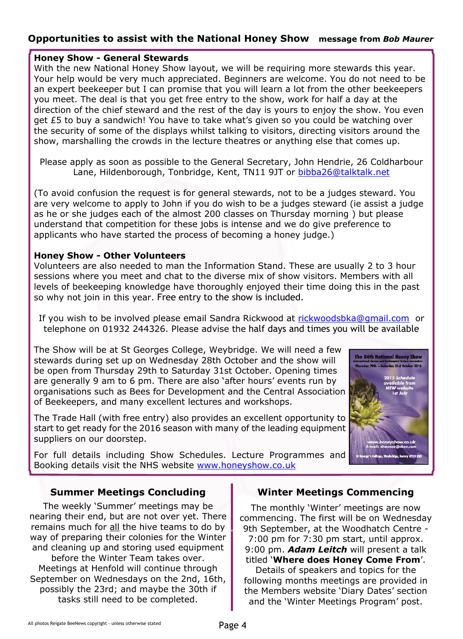## **Opportunities to assist with the National Honey Show message from** *Bob Maurer*

#### **Honey Show - General Stewards**

With the new National Honey Show layout, we will be requiring more stewards this year. Your help would be very much appreciated. Beginners are welcome. You do not need to be an expert beekeeper but I can promise that you will learn a lot from the other beekeepers you meet. The deal is that you get free entry to the show, work for half a day at the direction of the chief steward and the rest of the day is yours to enjoy the show. You even get £5 to buy a sandwich! You have to take what's given so you could be watching over the security of some of the displays whilst talking to visitors, directing visitors around the show, marshalling the crowds in the lecture theatres or anything else that comes up.

(To avoid confusion the request is for general stewards, not to be a judges steward. You are very welcome to apply to John if you do wish to be a judges steward (ie assist a judge as he or she judges each of the almost 200 classes on Thursday morning ) but please understand that competition for these jobs is intense and we do give preference to applicants who have started the process of becoming a honey judge.)

#### **Honey Show - Other Volunteers**

Volunteers are also needed to man the Information Stand. These are usually 2 to 3 hour sessions where you meet and chat to the diverse mix of show visitors. Members with all levels of beekeeping knowledge have thoroughly enjoyed their time doing this in the past so why not join in this year. Free entry to the show is included.

If you wish to be involved please email Sandra Rickwood at [rickwoodsbka@gmail.com](mailto:rickwoodsbka@gmail.com ) or telephone on 01932 244326. Please advise the half days and times you will be available

The Show will be at St Georges College, Weybridge. We will need a few stewards during set up on Wednesday 28th October and the show will be open from Thursday 29th to Saturday 31st October. Opening times are generally 9 am to 6 pm. There are also 'after hours' events run by organisations such as Bees for Development and the Central Association of Beekeepers, and many excellent lectures and workshops.

The Trade Hall (with free entry) also provides an excellent opportunity to start to get ready for the 2016 season with many of the leading equipment suppliers on our doorstep.

For full details including Show Schedules. Lecture Programmes and Booking details visit the NHS website [www.honeyshow.co.uk](http://honeyshow.co.uk)



#### **Summer Meetings Concluding**

The weekly 'Summer' meetings may be nearing their end, but are not over yet. There remains much for all the hive teams to do by way of preparing their colonies for the Winter and cleaning up and storing used equipment before the Winter Team takes over. Meetings at Henfold will continue through September on Wednesdays on the 2nd, 16th, possibly the 23rd; and maybe the 30th if tasks still need to be completed.

#### **Winter Meetings Commencing**

The monthly 'Winter' meetings are now commencing. The first will be on Wednesday 9th September, at the Woodhatch Centre - 7:00 pm for 7:30 pm start, until approx. 9:00 pm. *Adam Leitch* will present a talk titled '**Where does Honey Come From**'. Details of speakers and topics for the

following months meetings are provided in the Members website 'Diary Dates' section and the 'Winter Meetings Program' post.

Please apply as soon as possible to the General Secretary, John Hendrie, 26 Coldharbour Lane, Hildenborough, Tonbridge, Kent, TN11 9JT or [bibba26@talktalk.net](mailto:bibba26@talktalk.net )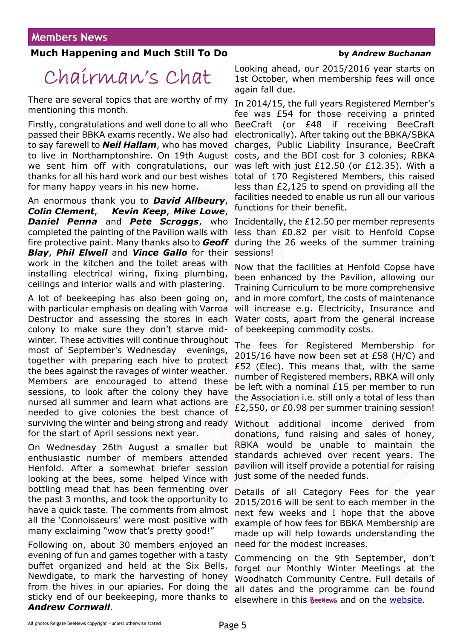## **Much Happening and Much Still To Do by** *Andrew Buchanan*

# Chairman's Chat

There are several topics that are worthy of my mentioning this month.

Firstly, congratulations and well done to all who passed their BBKA exams recently. We also had to say farewell to *Neil Hallam*, who has moved to live in Northamptonshire. On 19th August we sent him off with congratulations, our thanks for all his hard work and our best wishes for many happy years in his new home.

An enormous thank you to *David Allbeury*, *Colin Clement*, *Kevin Keep*, *Mike Lowe*, *Daniel Penna* and *Pete Scroggs*, who Incidentally, the £12.50 per member represents completed the painting of the Pavilion walls with fire protective paint. Many thanks also to *Geoff Blay*, *Phil Elwell* and *Vince Gallo* for their work in the kitchen and the toilet areas with installing electrical wiring, fixing plumbing, ceilings and interior walls and with plastering.

A lot of beekeeping has also been going on, with particular emphasis on dealing with Varroa Destructor and assessing the stores in each colony to make sure they don't starve midwinter. These activities will continue throughout most of September's Wednesday evenings, together with preparing each hive to protect the bees against the ravages of winter weather. Members are encouraged to attend these sessions, to look after the colony they have nursed all summer and learn what actions are needed to give colonies the best chance of surviving the winter and being strong and ready for the start of April sessions next year.

On Wednesday 26th August a smaller but enthusiastic number of members attended Henfold. After a somewhat briefer session looking at the bees, some helped Vince with bottling mead that has been fermenting over the past 3 months, and took the opportunity to have a quick taste. The comments from almost all the 'Connoisseurs' were most positive with many exclaiming "wow that's pretty good!"

Following on, about 30 members enjoyed an evening of fun and games together with a tasty buffet organized and held at the Six Bells, Newdigate, to mark the harvesting of honey from the hives in our apiaries. For doing the sticky end of our beekeeping, more thanks to *Andrew Cornwall*.

Looking ahead, our 2015/2016 year starts on 1st October, when membership fees will once again fall due.

In 2014/15, the full years Registered Member's fee was £54 for those receiving a printed BeeCraft (or £48 if receiving BeeCraft electronically). After taking out the BBKA/SBKA charges, Public Liability Insurance, BeeCraft costs, and the BDI cost for 3 colonies; RBKA was left with just £12.50 (or £12.35). With a total of 170 Registered Members, this raised less than £2,125 to spend on providing all the facilities needed to enable us run all our various functions for their benefit.

less than £0.82 per visit to Henfold Copse during the 26 weeks of the summer training sessions!

Now that the facilities at Henfold Copse have been enhanced by the Pavilion, allowing our Training Curriculum to be more comprehensive and in more comfort, the costs of maintenance will increase e.g. Electricity, Insurance and Water costs, apart from the general increase of beekeeping commodity costs.

The fees for Registered Membership for 2015/16 have now been set at £58 (H/C) and £52 (Elec). This means that, with the same number of Registered members, RBKA will only be left with a nominal £15 per member to run the Association i.e. still only a total of less than £2,550, or £0.98 per summer training session!

Without additional income derived from donations, fund raising and sales of honey, RBKA would be unable to maintain the standards achieved over recent years. The pavilion will itself provide a potential for raising just some of the needed funds.

Details of all Category Fees for the year 2015/2016 will be sent to each member in the next few weeks and I hope that the above example of how fees for BBKA Membership are made up will help towards understanding the need for the modest increases.

Commencing on the 9th September, don't forget our Monthly Winter Meetings at the Woodhatch Community Centre. Full details of all dates and the programme can be found elsewhere in this **BeeNews** and on the [website](http://rbkbblog.com/#).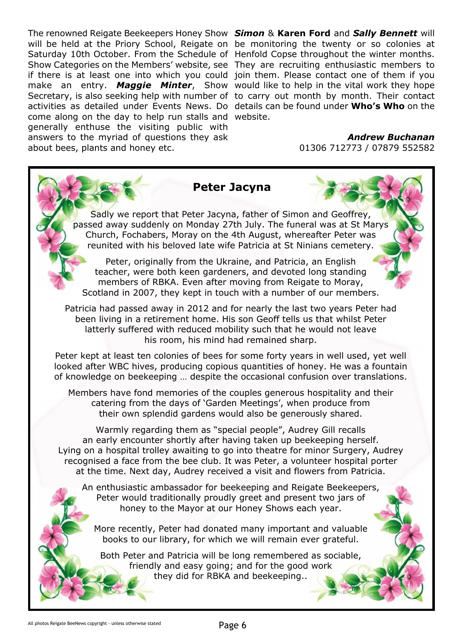The renowned Reigate Beekeepers Honey Show *Simon* & **Karen Ford** and *Sally Bennett* will will be held at the Priory School, Reigate on be monitoring the twenty or so colonies at Saturday 10th October. From the Schedule of Henfold Copse throughout the winter months. Show Categories on the Members' website, see They are recruiting enthusiastic members to if there is at least one into which you could join them. Please contact one of them if you make an entry. *Maggie Minter*, Show would like to help in the vital work they hope Secretary, is also seeking help with number of to carry out month by month. Their contact activities as detailed under Events News. Do details can be found under **Who's Who** on the come along on the day to help run stalls and website. generally enthuse the visiting public with answers to the myriad of questions they ask about bees, plants and honey etc.

*Andrew Buchanan*

01306 712773 / 07879 552582

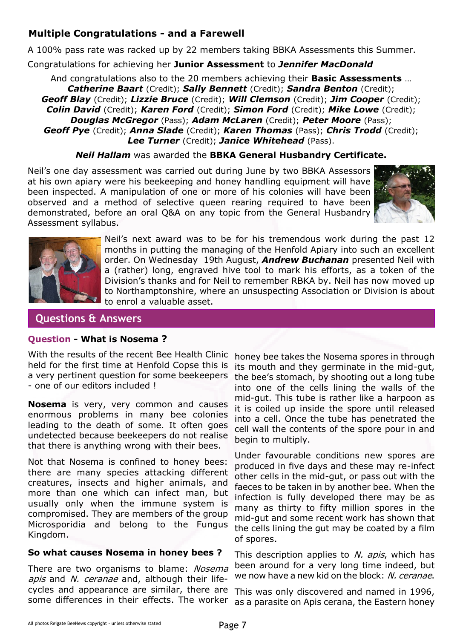# **Multiple Congratulations - and a Farewell**

A 100% pass rate was racked up by 22 members taking BBKA Assessments this Summer.

Congratulations for achieving her **Junior Assessment** to *Jennifer MacDonald*

And congratulations also to the 20 members achieving their **Basic Assessments** … *Catherine Baart* (Credit); *Sally Bennett* (Credit); *Sandra Benton* (Credit); *Geoff Blay* (Credit); *Lizzie Bruce* (Credit); *Will Clemson* (Credit); *Jim Cooper* (Credit); *Colin David* (Credit); *Karen Ford* (Credit); *Simon Ford* (Credit); *Mike Lowe* (Credit); *Douglas McGregor* (Pass); *Adam McLaren* (Credit); *Peter Moore* (Pass); *Geoff Pye* (Credit); *Anna Slade* (Credit); *Karen Thomas* (Pass); *Chris Trodd* (Credit); *Lee Turner* (Credit); *Janice Whitehead* (Pass).

*Neil Hallam* was awarded the **BBKA General Husbandry Certificate.**

Neil's one day assessment was carried out during June by two BBKA Assessors at his own apiary were his beekeeping and honey handling equipment will have been inspected. A manipulation of one or more of his colonies will have been observed and a method of selective queen rearing required to have been demonstrated, before an oral Q&A on any topic from the General Husbandry Assessment syllabus.





Neil's next award was to be for his tremendous work during the past 12 months in putting the managing of the Henfold Apiary into such an excellent order. On Wednesday 19th August, *Andrew Buchanan* presented Neil with a (rather) long, engraved hive tool to mark his efforts, as a token of the Division's thanks and for Neil to remember RBKA by. Neil has now moved up to Northamptonshire, where an unsuspecting Association or Division is about to enrol a valuable asset.

## **Questions & Answers**

#### **Question - What is Nosema ?**

With the results of the recent Bee Health Clinic held for the first time at Henfold Copse this is a very pertinent question for some beekeepers - one of our editors included !

**Nosema** is very, very common and causes enormous problems in many bee colonies leading to the death of some. It often goes undetected because beekeepers do not realise that there is anything wrong with their bees.

Not that Nosema is confined to honey bees: there are many species attacking different creatures, insects and higher animals, and more than one which can infect man, but usually only when the immune system is compromised. They are members of the group Microsporidia and belong to the Fungus Kingdom.

#### **So what causes Nosema in honey bees ?**

There are two organisms to blame: Nosema apis and N. ceranae and, although their lifecycles and appearance are similar, there are some differences in their effects. The worker

honey bee takes the Nosema spores in through its mouth and they germinate in the mid-gut, the bee's stomach, by shooting out a long tube into one of the cells lining the walls of the mid-gut. This tube is rather like a harpoon as it is coiled up inside the spore until released into a cell. Once the tube has penetrated the cell wall the contents of the spore pour in and begin to multiply.

Under favourable conditions new spores are produced in five days and these may re-infect other cells in the mid-gut, or pass out with the faeces to be taken in by another bee. When the infection is fully developed there may be as many as thirty to fifty million spores in the mid-gut and some recent work has shown that the cells lining the gut may be coated by a film of spores.

This description applies to N. apis, which has been around for a very long time indeed, but we now have a new kid on the block: N. ceranae.

This was only discovered and named in 1996, as a parasite on Apis cerana, the Eastern honey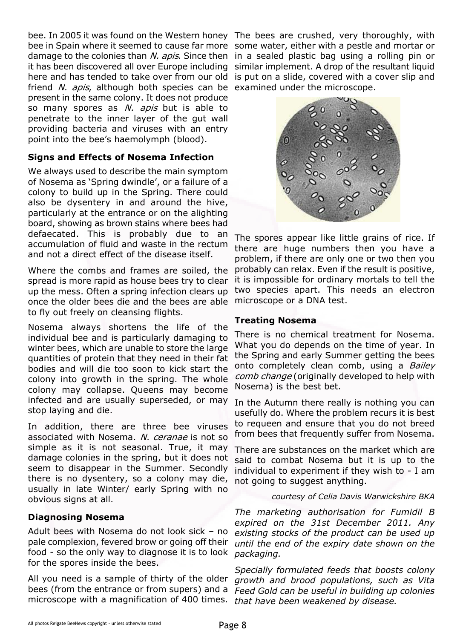bee. In 2005 it was found on the Western honey The bees are crushed, very thoroughly, with bee in Spain where it seemed to cause far more some water, either with a pestle and mortar or damage to the colonies than N. apis. Since then in a sealed plastic bag using a rolling pin or it has been discovered all over Europe including similar implement. A drop of the resultant liquid here and has tended to take over from our old is put on a slide, covered with a cover slip and friend N. apis, although both species can be examined under the microscope. present in the same colony. It does not produce so many spores as N. apis but is able to penetrate to the inner layer of the gut wall providing bacteria and viruses with an entry point into the bee's haemolymph (blood).

#### **Signs and Effects of Nosema Infection**

We always used to describe the main symptom of Nosema as 'Spring dwindle', or a failure of a colony to build up in the Spring. There could also be dysentery in and around the hive, particularly at the entrance or on the alighting board, showing as brown stains where bees had defaecated. This is probably due to an accumulation of fluid and waste in the rectum and not a direct effect of the disease itself.

Where the combs and frames are soiled, the spread is more rapid as house bees try to clear up the mess. Often a spring infection clears up once the older bees die and the bees are able to fly out freely on cleansing flights.

Nosema always shortens the life of the individual bee and is particularly damaging to winter bees, which are unable to store the large quantities of protein that they need in their fat bodies and will die too soon to kick start the colony into growth in the spring. The whole colony may collapse. Queens may become infected and are usually superseded, or may stop laying and die.

In addition, there are three bee viruses associated with Nosema. N. ceranae is not so simple as it is not seasonal. True, it may damage colonies in the spring, but it does not seem to disappear in the Summer. Secondly there is no dysentery, so a colony may die, usually in late Winter/ early Spring with no obvious signs at all.

#### **Diagnosing Nosema**

Adult bees with Nosema do not look sick – no pale complexion, fevered brow or going off their food - so the only way to diagnose it is to look for the spores inside the bees.

All you need is a sample of thirty of the older bees (from the entrance or from supers) and a *Feed Gold can be useful in building up colonies* microscope with a magnification of 400 times. *that have been weakened by disease.*



The spores appear like little grains of rice. If there are huge numbers then you have a problem, if there are only one or two then you probably can relax. Even if the result is positive, it is impossible for ordinary mortals to tell the two species apart. This needs an electron microscope or a DNA test.

#### **Treating Nosema**

There is no chemical treatment for Nosema. What you do depends on the time of year. In the Spring and early Summer getting the bees onto completely clean comb, using a Bailey comb change (originally developed to help with Nosema) is the best bet.

In the Autumn there really is nothing you can usefully do. Where the problem recurs it is best to requeen and ensure that you do not breed from bees that frequently suffer from Nosema.

There are substances on the market which are said to combat Nosema but it is up to the individual to experiment if they wish to - I am not going to suggest anything.

*courtesy of Celia Davis Warwickshire BKA*

*The marketing authorisation for Fumidil B expired on the 31st December 2011. Any existing stocks of the product can be used up until the end of the expiry date shown on the packaging.*

*Specially formulated feeds that boosts colony growth and brood populations, such as Vita*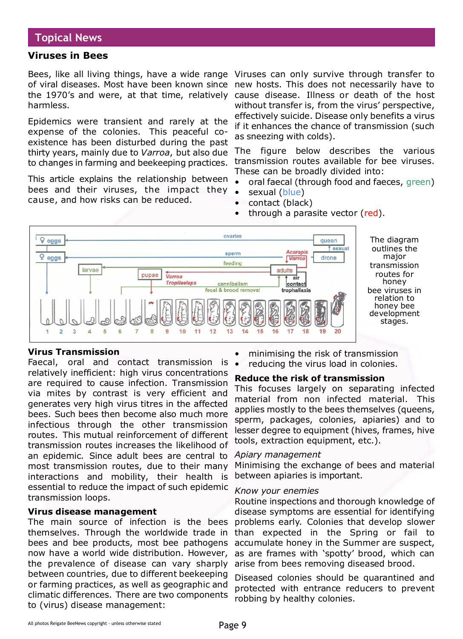#### **Viruses in Bees**

Bees, like all living things, have a wide range Viruses can only survive through transfer to of viral diseases. Most have been known since new hosts. This does not necessarily have to the 1970's and were, at that time, relatively harmless.

Epidemics were transient and rarely at the expense of the colonies. This peaceful coexistence has been disturbed during the past thirty years, mainly due to *Varroa*, but also due to changes in farming and beekeeping practices.

This article explains the relationship between bees and their viruses, the impact they cause, and how risks can be reduced.

cause disease. Illness or death of the host without transfer is, from the virus' perspective, effectively suicide. Disease only benefits a virus if it enhances the chance of transmission (such as sneezing with colds).

The figure below describes the various transmission routes available for bee viruses. These can be broadly divided into:

- oral faecal (through food and faeces, green)
- sexual (blue)
- contact (black)
- through a parasite vector (red).



The diagram outlines the major transmission routes for honey bee viruses in relation to honey bee development stages.

#### **Virus Transmission**

Faecal, oral and contact transmission is relatively inefficient: high virus concentrations are required to cause infection. Transmission via mites by contrast is very efficient and generates very high virus titres in the affected bees. Such bees then become also much more infectious through the other transmission routes. This mutual reinforcement of different transmission routes increases the likelihood of an epidemic. Since adult bees are central to most transmission routes, due to their many interactions and mobility, their health is essential to reduce the impact of such epidemic transmission loops.

#### **Virus disease management**

The main source of infection is the bees themselves. Through the worldwide trade in bees and bee products, most bee pathogens now have a world wide distribution. However, the prevalence of disease can vary sharply between countries, due to different beekeeping or farming practices, as well as geographic and climatic differences. There are two components to (virus) disease management:

- minimising the risk of transmission
- reducing the virus load in colonies.

#### **Reduce the risk of transmission**

This focuses largely on separating infected material from non infected material. This applies mostly to the bees themselves (queens, sperm, packages, colonies, apiaries) and to lesser degree to equipment (hives, frames, hive tools, extraction equipment, etc.).

#### *Apiary management*

Minimising the exchange of bees and material between apiaries is important.

#### *Know your enemies*

Routine inspections and thorough knowledge of disease symptoms are essential for identifying problems early. Colonies that develop slower than expected in the Spring or fail to accumulate honey in the Summer are suspect, as are frames with 'spotty' brood, which can arise from bees removing diseased brood.

Diseased colonies should be quarantined and protected with entrance reducers to prevent robbing by healthy colonies.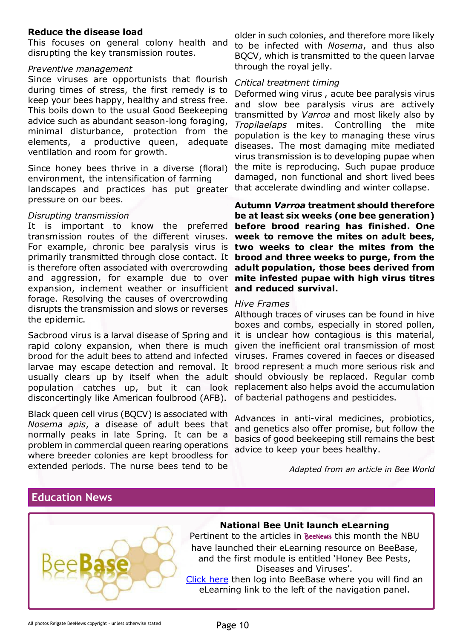#### **Reduce the disease load**

This focuses on general colony health and disrupting the key transmission routes.

## *Preventive management*

Since viruses are opportunists that flourish during times of stress, the first remedy is to keep your bees happy, healthy and stress free. This boils down to the usual Good Beekeeping advice such as abundant season-long foraging, minimal disturbance, protection from the elements, a productive queen, adequate ventilation and room for growth.

Since honey bees thrive in a diverse (floral) environment, the intensification of farming landscapes and practices has put greater pressure on our bees.

#### *Disrupting transmission*

It is important to know the preferred **before brood rearing has finished. One** transmission routes of the different viruses. For example, chronic bee paralysis virus is **two weeks to clear the mites from the** primarily transmitted through close contact. It **brood and three weeks to purge, from the** is therefore often associated with overcrowding and aggression, for example due to over expansion, inclement weather or insufficient **and reduced survival.** forage. Resolving the causes of overcrowding disrupts the transmission and slows or reverses the epidemic.

Sacbrood virus is a larval disease of Spring and rapid colony expansion, when there is much brood for the adult bees to attend and infected larvae may escape detection and removal. It usually clears up by itself when the adult population catches up, but it can look replacement also helps avoid the accumulation disconcertingly like American foulbrood (AFB).

Black queen cell virus (BQCV) is associated with *Nosema apis*, a disease of adult bees that normally peaks in late Spring. It can be a problem in commercial queen rearing operations where breeder colonies are kept broodless for extended periods. The nurse bees tend to be

older in such colonies, and therefore more likely to be infected with *Nosema*, and thus also BQCV, which is transmitted to the queen larvae through the royal jelly.

#### *Critical treatment timing*

Deformed wing virus , acute bee paralysis virus and slow bee paralysis virus are actively transmitted by *Varroa* and most likely also by *Tropilaelaps* mites. Controlling the mite population is the key to managing these virus diseases. The most damaging mite mediated virus transmission is to developing pupae when the mite is reproducing. Such pupae produce damaged, non functional and short lived bees that accelerate dwindling and winter collapse.

**Autumn** *Varroa* **treatment should therefore be at least six weeks (one bee generation) week to remove the mites on adult bees, adult population, those bees derived from mite infested pupae with high virus titres**

#### *Hive Frames*

Although traces of viruses can be found in hive boxes and combs, especially in stored pollen, it is unclear how contagious is this material, given the inefficient oral transmission of most viruses. Frames covered in faeces or diseased brood represent a much more serious risk and should obviously be replaced. Regular comb of bacterial pathogens and pesticides.

Advances in anti-viral medicines, probiotics, and genetics also offer promise, but follow the basics of good beekeeping still remains the best advice to keep your bees healthy.

*Adapted from an article in Bee World*

# **Education News**



## **National Bee Unit launch eLearning**

Pertinent to the articles in Beenews this month the NBU have launched their eLearning resource on BeeBase, and the first module is entitled 'Honey Bee Pests, Diseases and Viruses'.

[Click here](http://www.nationalbeeunit.com/) then log into BeeBase where you will find an eLearning link to the left of the navigation panel.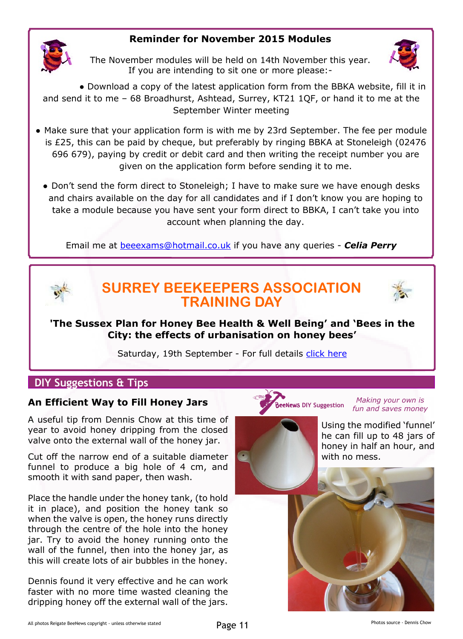# **Reminder for November 2015 Modules**



The November modules will be held on 14th November this year. If you are intending to sit one or more please:-



● Download a copy of the latest application form from the BBKA website, fill it in and send it to me – 68 Broadhurst, Ashtead, Surrey, KT21 1QF, or hand it to me at the September Winter meeting

- Make sure that your application form is with me by 23rd September. The fee per module is £25, this can be paid by cheque, but preferably by ringing BBKA at Stoneleigh (02476 696 679), paying by credit or debit card and then writing the receipt number you are given on the application form before sending it to me.
	- Don't send the form direct to Stoneleigh; I have to make sure we have enough desks and chairs available on the day for all candidates and if I don't know you are hoping to take a module because you have sent your form direct to BBKA, I can't take you into account when planning the day.

Email me at [beeexams@hotmail.co.uk](mailto:beeexams@hotmail.co.uk ) [i](mailto:beeexams@hotmail.co.uk )f you have any queries - *Celia Perry*



# **SURREY BEEKEEPERS ASSOCIATION TRAINING DAY**



**'The Sussex Plan for Honey Bee Health & Well Being' and 'Bees in the City: the effects of urbanisation on honey bees'**

Saturday, 19th September - For full details [click here](http://rbkbblog.com/2015/08/03/sbka-training-day-the-sussex-plan-bees-in-the-city-19th-sept-2015/)

## **DIY Suggestions & Tips**

#### **An Efficient Way to Fill Honey Jars**

A useful tip from Dennis Chow at this time of year to avoid honey dripping from the closed valve onto the external wall of the honey jar.

Cut off the narrow end of a suitable diameter funnel to produce a big hole of 4 cm, and smooth it with sand paper, then wash.

Place the handle under the honey tank, (to hold it in place), and position the honey tank so when the valve is open, the honey runs directly through the centre of the hole into the honey jar. Try to avoid the honey running onto the wall of the funnel, then into the honey jar, as this will create lots of air bubbles in the honey.

Dennis found it very effective and he can work faster with no more time wasted cleaning the dripping honey off the external wall of the jars.

#### **DIY Suggestion** *Making your own is fun and saves money*